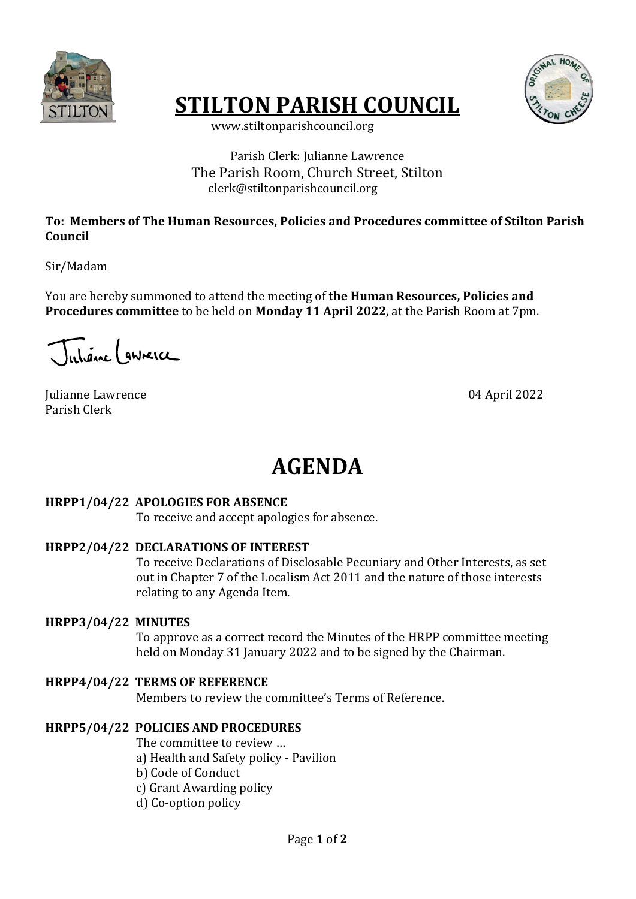

# **STILTON PARISH COUNCIL**



 www.stiltonparishcouncil.org

## Parish Clerk: Julianne Lawrence The Parish Room, Church Street, Stilton clerk@stiltonparishcouncil.org

#### To: Members of The Human Resources, Policies and Procedures committee of Stilton Parish **Council**

Sir/Madam

You are hereby summoned to attend the meeting of **the Human Resources, Policies and Procedures committee** to be held on **Monday 11 April 2022**, at the Parish Room at 7pm.

Juliane ( gwneice

Julianne Lawrence 04 April 2022 Parish Clerk

# **AGENDA**

#### **HRPP1/04/22 APOLOGIES FOR ABSENCE**

To receive and accept apologies for absence.

#### **HRPP2/04/22 DECLARATIONS OF INTEREST**

To receive Declarations of Disclosable Pecuniary and Other Interests, as set out in Chapter 7 of the Localism Act 2011 and the nature of those interests relating to any Agenda Item.

#### **HRPP3/04/22 MINUTES**

To approve as a correct record the Minutes of the HRPP committee meeting held on Monday 31 January 2022 and to be signed by the Chairman.

## **HRPP4/04/22 TERMS OF REFERENCE**

Members to review the committee's Terms of Reference.

#### **HRPP5/04/22 POLICIES AND PROCEDURES**

The committee to review ...

a) Health and Safety policy - Pavilion

b) Code of Conduct

c) Grant Awarding policy

d) Co-option policy